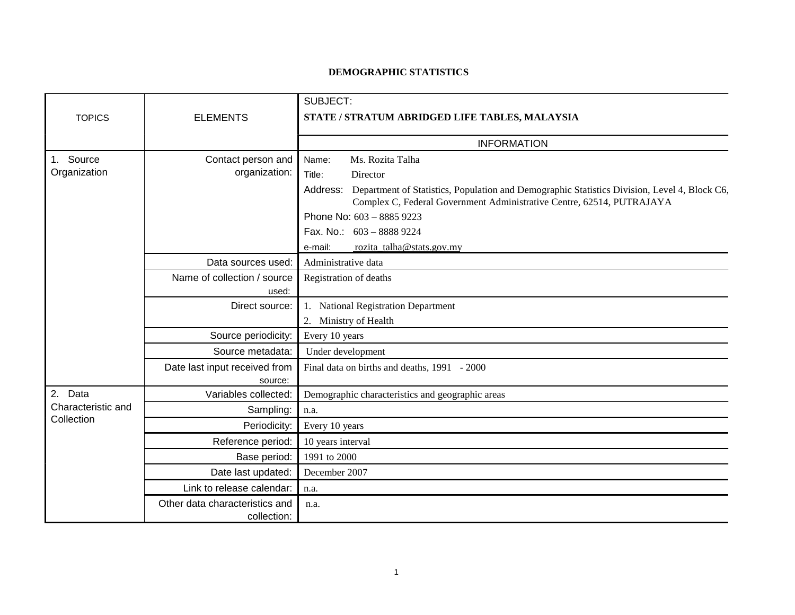## **DEMOGRAPHIC STATISTICS**

|                                                |                                               | SUBJECT:                                                                                                                                                                       |
|------------------------------------------------|-----------------------------------------------|--------------------------------------------------------------------------------------------------------------------------------------------------------------------------------|
| <b>TOPICS</b>                                  | <b>ELEMENTS</b>                               | STATE / STRATUM ABRIDGED LIFE TABLES, MALAYSIA                                                                                                                                 |
|                                                |                                               |                                                                                                                                                                                |
|                                                |                                               | <b>INFORMATION</b>                                                                                                                                                             |
| Source<br>$1_{\cdot}$<br>Organization          | Contact person and                            | Ms. Rozita Talha<br>Name:                                                                                                                                                      |
|                                                | organization:                                 | Title:<br>Director                                                                                                                                                             |
|                                                |                                               | Address: Department of Statistics, Population and Demographic Statistics Division, Level 4, Block C6,<br>Complex C, Federal Government Administrative Centre, 62514, PUTRAJAYA |
|                                                |                                               | Phone No: 603 - 8885 9223                                                                                                                                                      |
|                                                |                                               | Fax. No.: 603 - 8888 9224                                                                                                                                                      |
|                                                |                                               | rozita talha@stats.gov.my<br>e-mail:                                                                                                                                           |
|                                                | Data sources used:                            | Administrative data                                                                                                                                                            |
|                                                | Name of collection / source                   | Registration of deaths                                                                                                                                                         |
|                                                | used:                                         |                                                                                                                                                                                |
|                                                | Direct source:                                | 1. National Registration Department                                                                                                                                            |
|                                                |                                               | 2. Ministry of Health                                                                                                                                                          |
|                                                | Source periodicity:                           | Every 10 years                                                                                                                                                                 |
|                                                | Source metadata:                              | Under development                                                                                                                                                              |
|                                                | Date last input received from                 | Final data on births and deaths, 1991 - 2000                                                                                                                                   |
|                                                | source:                                       |                                                                                                                                                                                |
| 2.<br>Data<br>Characteristic and<br>Collection | Variables collected:                          | Demographic characteristics and geographic areas                                                                                                                               |
|                                                | Sampling:                                     | n.a.                                                                                                                                                                           |
|                                                | Periodicity:                                  | Every 10 years                                                                                                                                                                 |
|                                                | Reference period:                             | 10 years interval                                                                                                                                                              |
|                                                | Base period:                                  | 1991 to 2000                                                                                                                                                                   |
|                                                | Date last updated:                            | December 2007                                                                                                                                                                  |
|                                                | Link to release calendar:                     | n.a.                                                                                                                                                                           |
|                                                | Other data characteristics and<br>collection: | n.a.                                                                                                                                                                           |